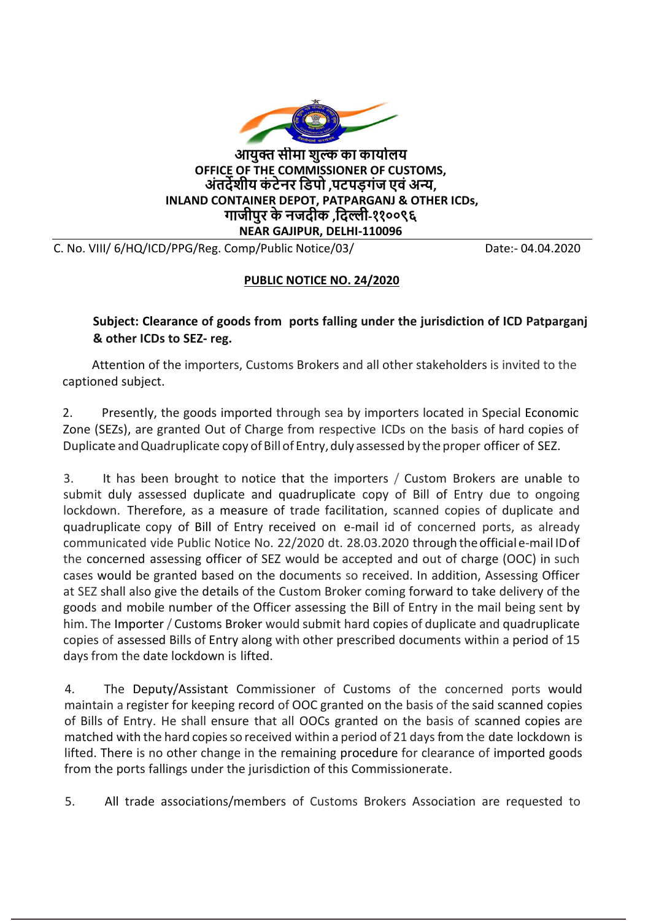

**आयुक्त सीमा शुल्क का कायाालय OFFICE OF THE COMMISSIONER OF CUSTOMS, अंतर्देशीय कं टेनर डिपो ,पटपड़गंज एवंअन्य, INLAND CONTAINER DEPOT, PATPARGANJ & OTHER ICDs, गाजीपुर केनजर्दीक ,डर्दल्ली-११००९६ NEAR GAJIPUR, DELHI-110096** 

C. No. VIII/ 6/HQ/ICD/PPG/Reg. Comp/Public Notice/03/ Date:- 04.04.2020

## **PUBLIC NOTICE NO. 24/2020**

**Subject: Clearance of goods from ports falling under the jurisdiction of ICD Patparganj & other ICDs to SEZ- reg.**

Attention of the importers, Customs Brokers and all other stakeholders is invited to the captioned subject.

2. Presently, the goods imported through sea by importers located in Special Economic Zone (SEZs), are granted Out of Charge from respective ICDs on the basis of hard copies of Duplicate and Quadruplicate copy of Bill of Entry, duly assessed by the proper officer of SEZ.

3. It has been brought to notice that the importers / Custom Brokers are unable to submit duly assessed duplicate and quadruplicate copy of Bill of Entry due to ongoing lockdown. Therefore, as a measure of trade facilitation, scanned copies of duplicate and quadruplicate copy of Bill of Entry received on e-mail id of concerned ports, as already communicated vide Public Notice No. 22/2020 dt. 28.03.2020 through theofficial e-mail IDof the concerned assessing officer of SEZ would be accepted and out of charge (OOC) in such cases would be granted based on the documents so received. In addition, Assessing Officer at SEZ shall also give the details of the Custom Broker coming forward to take delivery of the goods and mobile number of the Officer assessing the Bill of Entry in the mail being sent by him. The Importer / Customs Broker would submit hard copies of duplicate and quadruplicate copies of assessed Bills of Entry along with other prescribed documents within a period of 15 daysfrom the date lockdown is lifted.

4. The Deputy/Assistant Commissioner of Customs of the concerned ports would maintain a register for keeping record of OOC granted on the basis of the said scanned copies of Bills of Entry. He shall ensure that all OOCs granted on the basis of scanned copies are matched with the hard copies so received within a period of 21 days from the date lockdown is lifted. There is no other change in the remaining procedure for clearance of imported goods from the ports fallings under the jurisdiction of this Commissionerate.

5. All trade associations/members of Customs Brokers Association are requested to